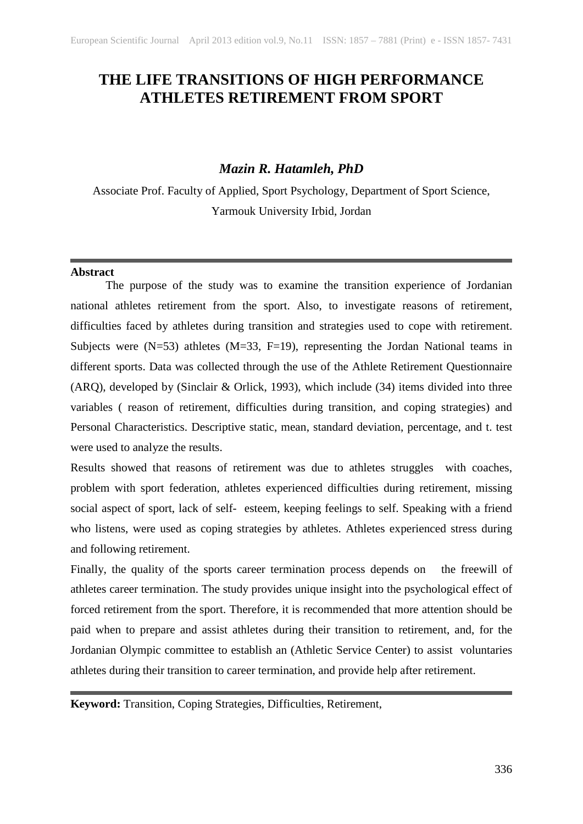# **THE LIFE TRANSITIONS OF HIGH PERFORMANCE ATHLETES RETIREMENT FROM SPORT**

## *Mazin R. Hatamleh, PhD*

Associate Prof. Faculty of Applied, Sport Psychology, Department of Sport Science, Yarmouk University Irbid, Jordan

#### **Abstract**

The purpose of the study was to examine the transition experience of Jordanian national athletes retirement from the sport. Also, to investigate reasons of retirement, difficulties faced by athletes during transition and strategies used to cope with retirement. Subjects were  $(N=53)$  athletes  $(M=33, F=19)$ , representing the Jordan National teams in different sports. Data was collected through the use of the Athlete Retirement Questionnaire (ARQ), developed by (Sinclair & Orlick, 1993), which include (34) items divided into three variables ( reason of retirement, difficulties during transition, and coping strategies) and Personal Characteristics. Descriptive static, mean, standard deviation, percentage, and t. test were used to analyze the results.

Results showed that reasons of retirement was due to athletes struggles with coaches, problem with sport federation, athletes experienced difficulties during retirement, missing social aspect of sport, lack of self- esteem, keeping feelings to self. Speaking with a friend who listens, were used as coping strategies by athletes. Athletes experienced stress during and following retirement.

Finally, the quality of the sports career termination process depends on the freewill of athletes career termination. The study provides unique insight into the psychological effect of forced retirement from the sport. Therefore, it is recommended that more attention should be paid when to prepare and assist athletes during their transition to retirement, and, for the Jordanian Olympic committee to establish an (Athletic Service Center) to assist voluntaries athletes during their transition to career termination, and provide help after retirement.

**Keyword:** Transition, Coping Strategies, Difficulties, Retirement,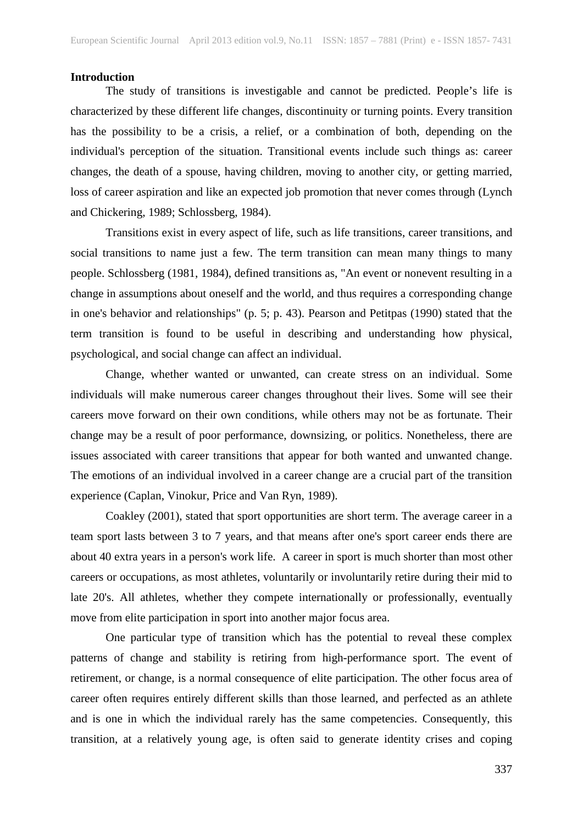#### **Introduction**

The study of transitions is investigable and cannot be predicted. People's life is characterized by these different life changes, discontinuity or turning points. Every transition has the possibility to be a crisis, a relief, or a combination of both, depending on the individual's perception of the situation. Transitional events include such things as: career changes, the death of a spouse, having children, moving to another city, or getting married, loss of career aspiration and like an expected job promotion that never comes through (Lynch and Chickering, 1989; Schlossberg, 1984).

Transitions exist in every aspect of life, such as life transitions, career transitions, and social transitions to name just a few. The term transition can mean many things to many people. Schlossberg (1981, 1984), defined transitions as, "An event or nonevent resulting in a change in assumptions about oneself and the world, and thus requires a corresponding change in one's behavior and relationships" (p. 5; p. 43). Pearson and Petitpas (1990) stated that the term transition is found to be useful in describing and understanding how physical, psychological, and social change can affect an individual.

Change, whether wanted or unwanted, can create stress on an individual. Some individuals will make numerous career changes throughout their lives. Some will see their careers move forward on their own conditions, while others may not be as fortunate. Their change may be a result of poor performance, downsizing, or politics. Nonetheless, there are issues associated with career transitions that appear for both wanted and unwanted change. The emotions of an individual involved in a career change are a crucial part of the transition experience (Caplan, Vinokur, Price and Van Ryn, 1989).

Coakley (2001), stated that sport opportunities are short term. The average career in a team sport lasts between 3 to 7 years, and that means after one's sport career ends there are about 40 extra years in a person's work life. A career in sport is much shorter than most other careers or occupations, as most athletes, voluntarily or involuntarily retire during their mid to late 20's. All athletes, whether they compete internationally or professionally, eventually move from elite participation in sport into another major focus area.

 One particular type of transition which has the potential to reveal these complex patterns of change and stability is retiring from high-performance sport. The event of retirement, or change, is a normal consequence of elite participation. The other focus area of career often requires entirely different skills than those learned, and perfected as an athlete and is one in which the individual rarely has the same competencies. Consequently, this transition, at a relatively young age, is often said to generate identity crises and coping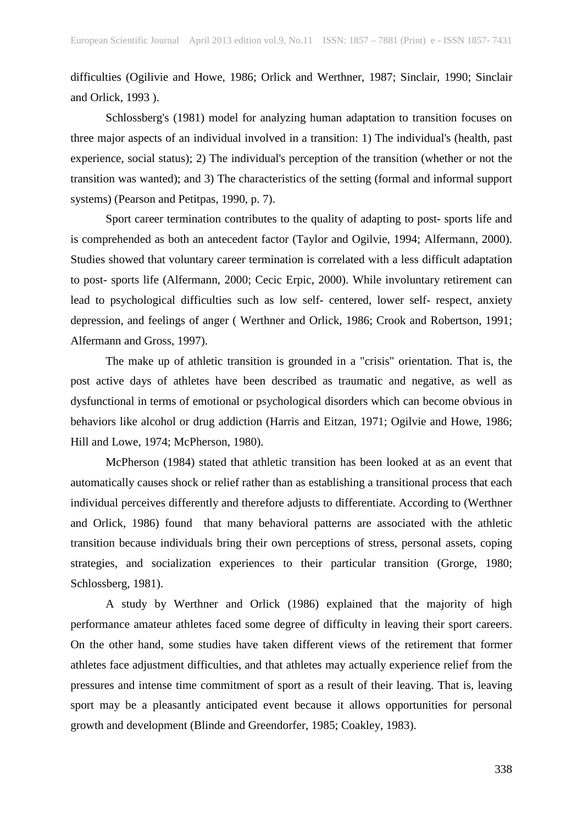difficulties (Ogilivie and Howe, 1986; Orlick and Werthner, 1987; Sinclair, 1990; Sinclair and Orlick, 1993 ).

Schlossberg's (1981) model for analyzing human adaptation to transition focuses on three major aspects of an individual involved in a transition: 1) The individual's (health, past experience, social status); 2) The individual's perception of the transition (whether or not the transition was wanted); and 3) The characteristics of the setting (formal and informal support systems) (Pearson and Petitpas, 1990, p. 7).

Sport career termination contributes to the quality of adapting to post- sports life and is comprehended as both an antecedent factor (Taylor and Ogilvie, 1994; Alfermann, 2000). Studies showed that voluntary career termination is correlated with a less difficult adaptation to post- sports life (Alfermann, 2000; Cecic Erpic, 2000). While involuntary retirement can lead to psychological difficulties such as low self- centered, lower self- respect, anxiety depression, and feelings of anger ( Werthner and Orlick, 1986; Crook and Robertson, 1991; Alfermann and Gross, 1997).

The make up of athletic transition is grounded in a "crisis" orientation. That is, the post active days of athletes have been described as traumatic and negative, as well as dysfunctional in terms of emotional or psychological disorders which can become obvious in behaviors like alcohol or drug addiction (Harris and Eitzan, 1971; Ogilvie and Howe, 1986; Hill and Lowe, 1974; McPherson, 1980).

McPherson (1984) stated that athletic transition has been looked at as an event that automatically causes shock or relief rather than as establishing a transitional process that each individual perceives differently and therefore adjusts to differentiate. According to (Werthner and Orlick, 1986) found that many behavioral patterns are associated with the athletic transition because individuals bring their own perceptions of stress, personal assets, coping strategies, and socialization experiences to their particular transition (Grorge, 1980; Schlossberg, 1981).

A study by Werthner and Orlick (1986) explained that the majority of high performance amateur athletes faced some degree of difficulty in leaving their sport careers. On the other hand, some studies have taken different views of the retirement that former athletes face adjustment difficulties, and that athletes may actually experience relief from the pressures and intense time commitment of sport as a result of their leaving. That is, leaving sport may be a pleasantly anticipated event because it allows opportunities for personal growth and development (Blinde and Greendorfer, 1985; Coakley, 1983).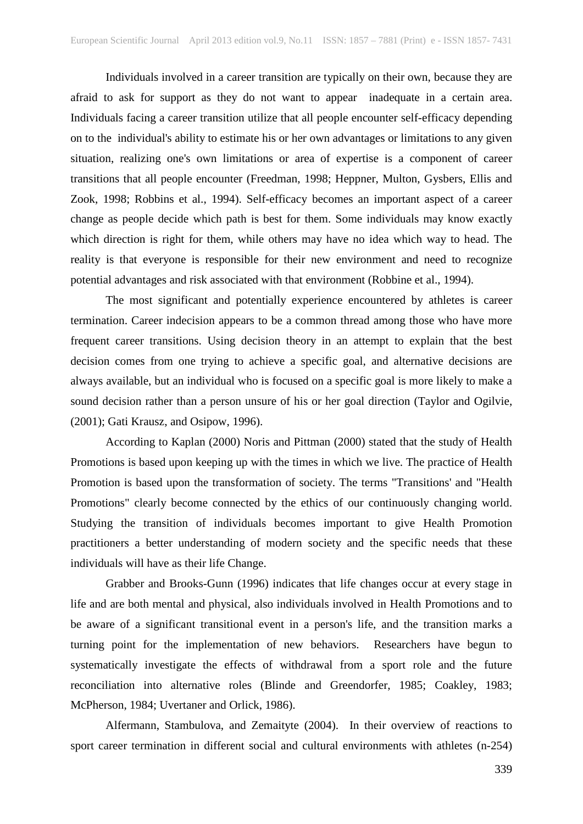Individuals involved in a career transition are typically on their own, because they are afraid to ask for support as they do not want to appear inadequate in a certain area. Individuals facing a career transition utilize that all people encounter self-efficacy depending on to the individual's ability to estimate his or her own advantages or limitations to any given situation, realizing one's own limitations or area of expertise is a component of career transitions that all people encounter (Freedman, 1998; Heppner, Multon, Gysbers, Ellis and Zook, 1998; Robbins et al., 1994). Self-efficacy becomes an important aspect of a career change as people decide which path is best for them. Some individuals may know exactly which direction is right for them, while others may have no idea which way to head. The reality is that everyone is responsible for their new environment and need to recognize potential advantages and risk associated with that environment (Robbine et al., 1994).

The most significant and potentially experience encountered by athletes is career termination. Career indecision appears to be a common thread among those who have more frequent career transitions. Using decision theory in an attempt to explain that the best decision comes from one trying to achieve a specific goal, and alternative decisions are always available, but an individual who is focused on a specific goal is more likely to make a sound decision rather than a person unsure of his or her goal direction (Taylor and Ogilvie, (2001); Gati Krausz, and Osipow, 1996).

According to Kaplan (2000) Noris and Pittman (2000) stated that the study of Health Promotions is based upon keeping up with the times in which we live. The practice of Health Promotion is based upon the transformation of society. The terms "Transitions' and "Health Promotions" clearly become connected by the ethics of our continuously changing world. Studying the transition of individuals becomes important to give Health Promotion practitioners a better understanding of modern society and the specific needs that these individuals will have as their life Change.

Grabber and Brooks-Gunn (1996) indicates that life changes occur at every stage in life and are both mental and physical, also individuals involved in Health Promotions and to be aware of a significant transitional event in a person's life, and the transition marks a turning point for the implementation of new behaviors. Researchers have begun to systematically investigate the effects of withdrawal from a sport role and the future reconciliation into alternative roles (Blinde and Greendorfer, 1985; Coakley, 1983; McPherson, 1984; Uvertaner and Orlick, 1986).

Alfermann, Stambulova, and Zemaityte (2004). In their overview of reactions to sport career termination in different social and cultural environments with athletes (n-254)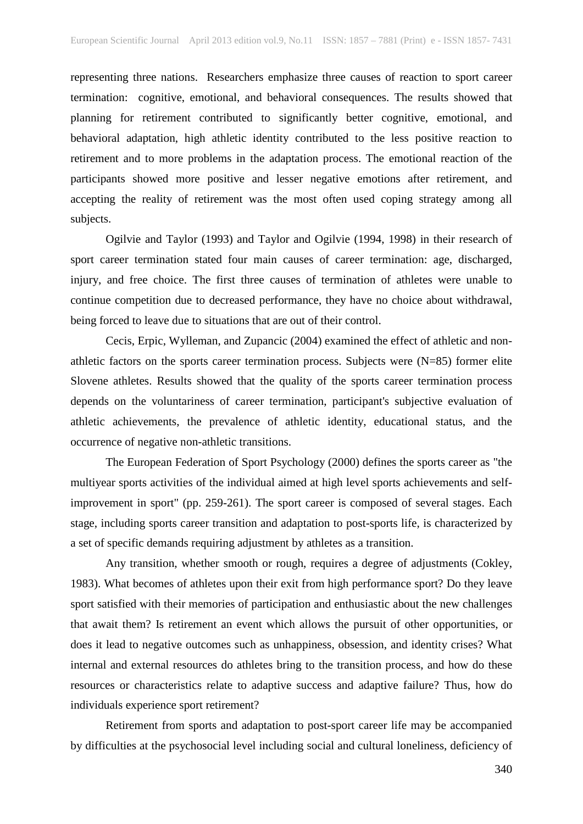representing three nations. Researchers emphasize three causes of reaction to sport career termination: cognitive, emotional, and behavioral consequences. The results showed that planning for retirement contributed to significantly better cognitive, emotional, and behavioral adaptation, high athletic identity contributed to the less positive reaction to retirement and to more problems in the adaptation process. The emotional reaction of the participants showed more positive and lesser negative emotions after retirement, and accepting the reality of retirement was the most often used coping strategy among all subjects.

Ogilvie and Taylor (1993) and Taylor and Ogilvie (1994, 1998) in their research of sport career termination stated four main causes of career termination: age, discharged, injury, and free choice. The first three causes of termination of athletes were unable to continue competition due to decreased performance, they have no choice about withdrawal, being forced to leave due to situations that are out of their control.

Cecis, Erpic, Wylleman, and Zupancic (2004) examined the effect of athletic and nonathletic factors on the sports career termination process. Subjects were (N=85) former elite Slovene athletes. Results showed that the quality of the sports career termination process depends on the voluntariness of career termination, participant's subjective evaluation of athletic achievements, the prevalence of athletic identity, educational status, and the occurrence of negative non-athletic transitions.

The European Federation of Sport Psychology (2000) defines the sports career as "the multiyear sports activities of the individual aimed at high level sports achievements and selfimprovement in sport" (pp. 259-261). The sport career is composed of several stages. Each stage, including sports career transition and adaptation to post-sports life, is characterized by a set of specific demands requiring adjustment by athletes as a transition.

Any transition, whether smooth or rough, requires a degree of adjustments (Cokley, 1983). What becomes of athletes upon their exit from high performance sport? Do they leave sport satisfied with their memories of participation and enthusiastic about the new challenges that await them? Is retirement an event which allows the pursuit of other opportunities, or does it lead to negative outcomes such as unhappiness, obsession, and identity crises? What internal and external resources do athletes bring to the transition process, and how do these resources or characteristics relate to adaptive success and adaptive failure? Thus, how do individuals experience sport retirement?

Retirement from sports and adaptation to post-sport career life may be accompanied by difficulties at the psychosocial level including social and cultural loneliness, deficiency of

340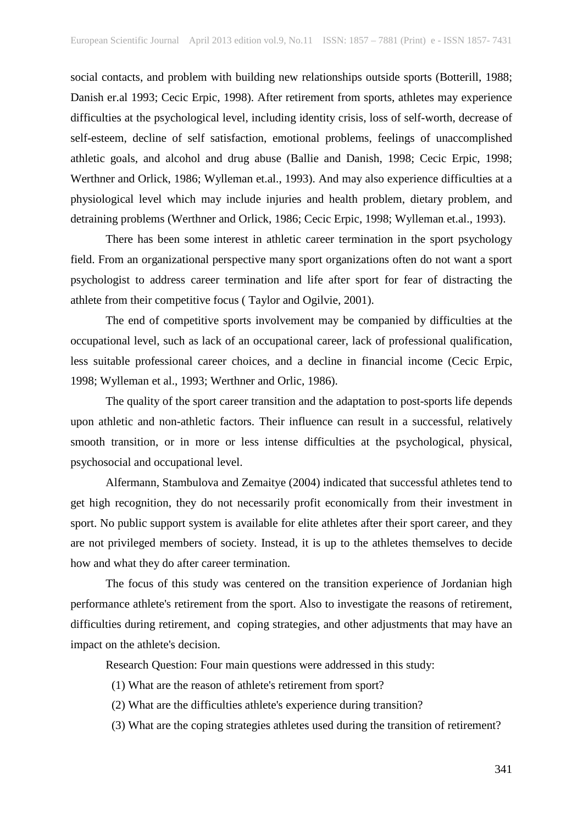social contacts, and problem with building new relationships outside sports (Botterill, 1988; Danish er.al 1993; Cecic Erpic, 1998). After retirement from sports, athletes may experience difficulties at the psychological level, including identity crisis, loss of self-worth, decrease of self-esteem, decline of self satisfaction, emotional problems, feelings of unaccomplished athletic goals, and alcohol and drug abuse (Ballie and Danish, 1998; Cecic Erpic, 1998; Werthner and Orlick, 1986; Wylleman et.al., 1993). And may also experience difficulties at a physiological level which may include injuries and health problem, dietary problem, and detraining problems (Werthner and Orlick, 1986; Cecic Erpic, 1998; Wylleman et.al., 1993).

There has been some interest in athletic career termination in the sport psychology field. From an organizational perspective many sport organizations often do not want a sport psychologist to address career termination and life after sport for fear of distracting the athlete from their competitive focus ( Taylor and Ogilvie, 2001).

The end of competitive sports involvement may be companied by difficulties at the occupational level, such as lack of an occupational career, lack of professional qualification, less suitable professional career choices, and a decline in financial income (Cecic Erpic, 1998; Wylleman et al., 1993; Werthner and Orlic, 1986).

The quality of the sport career transition and the adaptation to post-sports life depends upon athletic and non-athletic factors. Their influence can result in a successful, relatively smooth transition, or in more or less intense difficulties at the psychological, physical, psychosocial and occupational level.

Alfermann, Stambulova and Zemaitye (2004) indicated that successful athletes tend to get high recognition, they do not necessarily profit economically from their investment in sport. No public support system is available for elite athletes after their sport career, and they are not privileged members of society. Instead, it is up to the athletes themselves to decide how and what they do after career termination.

The focus of this study was centered on the transition experience of Jordanian high performance athlete's retirement from the sport. Also to investigate the reasons of retirement, difficulties during retirement, and coping strategies, and other adjustments that may have an impact on the athlete's decision.

Research Question: Four main questions were addressed in this study:

- (1) What are the reason of athlete's retirement from sport?
- (2) What are the difficulties athlete's experience during transition?
- (3) What are the coping strategies athletes used during the transition of retirement?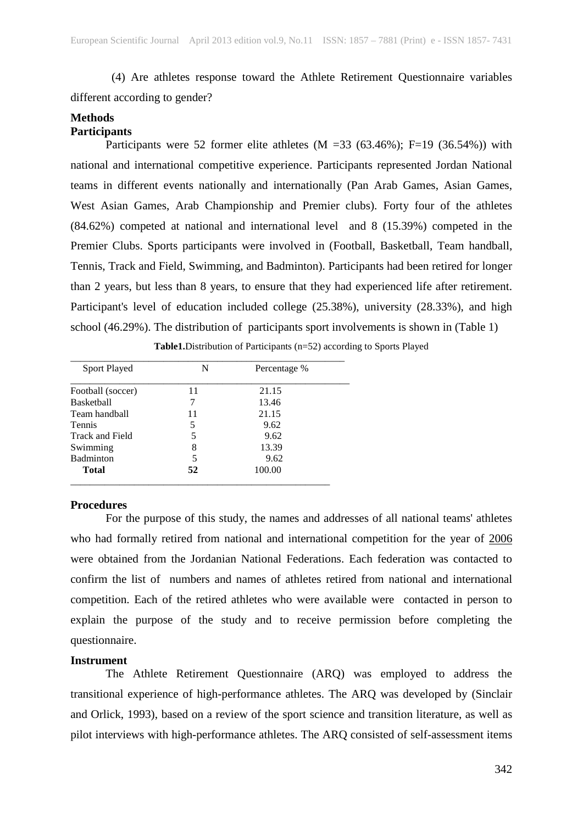(4) Are athletes response toward the Athlete Retirement Questionnaire variables different according to gender?

## **Methods Participants**

Participants were 52 former elite athletes  $(M = 33 (63.46\%)$ ; F=19 (36.54%)) with national and international competitive experience. Participants represented Jordan National teams in different events nationally and internationally (Pan Arab Games, Asian Games, West Asian Games, Arab Championship and Premier clubs). Forty four of the athletes (84.62%) competed at national and international level and 8 (15.39%) competed in the Premier Clubs. Sports participants were involved in (Football, Basketball, Team handball, Tennis, Track and Field, Swimming, and Badminton). Participants had been retired for longer than 2 years, but less than 8 years, to ensure that they had experienced life after retirement. Participant's level of education included college (25.38%), university (28.33%), and high school (46.29%). The distribution of participants sport involvements is shown in (Table 1)

**Table1.**Distribution of Participants (n=52) according to Sports Played

| <b>Sport Played</b>    | N  | Percentage % |
|------------------------|----|--------------|
| Football (soccer)      | 11 | 21.15        |
| <b>Basketball</b>      | 7  | 13.46        |
| Team handball          | 11 | 21.15        |
| <b>Tennis</b>          | 5  | 9.62         |
| <b>Track and Field</b> | 5  | 9.62         |
| Swimming               | 8  | 13.39        |
| <b>Badminton</b>       | 5  | 9.62         |
| <b>Total</b>           | 52 | 100.00       |
|                        |    |              |

\_\_\_\_\_\_\_\_\_\_\_\_\_\_\_\_\_\_\_\_\_\_\_\_\_\_\_\_\_\_\_\_\_\_\_\_\_\_\_\_\_\_\_\_\_\_\_\_\_\_\_\_\_\_\_\_

## **Procedures**

For the purpose of this study, the names and addresses of all national teams' athletes who had formally retired from national and international competition for the year of 2006 were obtained from the Jordanian National Federations. Each federation was contacted to confirm the list of numbers and names of athletes retired from national and international competition. Each of the retired athletes who were available were contacted in person to explain the purpose of the study and to receive permission before completing the questionnaire.

## **Instrument**

The Athlete Retirement Questionnaire (ARQ) was employed to address the transitional experience of high-performance athletes. The ARQ was developed by (Sinclair and Orlick, 1993), based on a review of the sport science and transition literature, as well as pilot interviews with high-performance athletes. The ARQ consisted of self-assessment items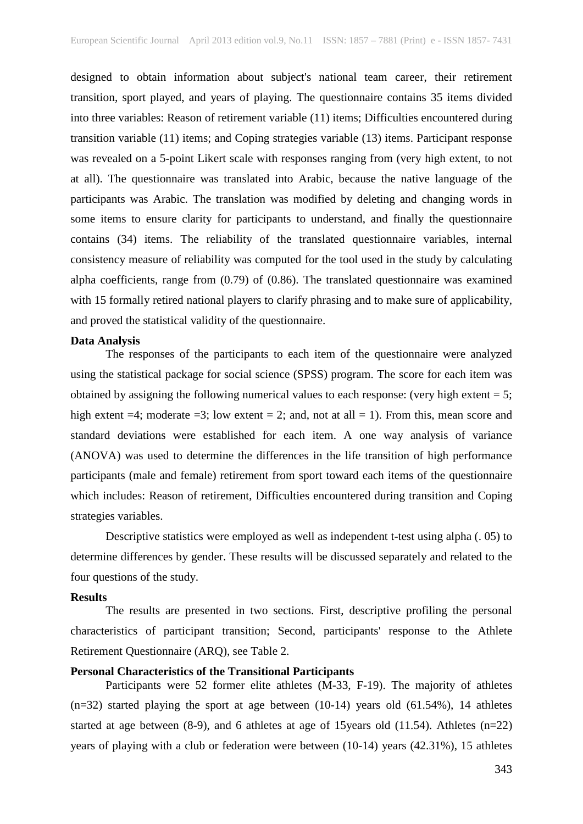designed to obtain information about subject's national team career, their retirement transition, sport played, and years of playing. The questionnaire contains 35 items divided into three variables: Reason of retirement variable (11) items; Difficulties encountered during transition variable (11) items; and Coping strategies variable (13) items. Participant response was revealed on a 5-point Likert scale with responses ranging from (very high extent, to not at all). The questionnaire was translated into Arabic, because the native language of the participants was Arabic. The translation was modified by deleting and changing words in some items to ensure clarity for participants to understand, and finally the questionnaire contains (34) items. The reliability of the translated questionnaire variables, internal consistency measure of reliability was computed for the tool used in the study by calculating alpha coefficients, range from (0.79) of (0.86). The translated questionnaire was examined with 15 formally retired national players to clarify phrasing and to make sure of applicability, and proved the statistical validity of the questionnaire.

## **Data Analysis**

The responses of the participants to each item of the questionnaire were analyzed using the statistical package for social science (SPSS) program. The score for each item was obtained by assigning the following numerical values to each response: (very high extent  $= 5$ ; high extent  $=4$ ; moderate  $=3$ ; low extent  $=2$ ; and, not at all  $= 1$ ). From this, mean score and standard deviations were established for each item. A one way analysis of variance (ANOVA) was used to determine the differences in the life transition of high performance participants (male and female) retirement from sport toward each items of the questionnaire which includes: Reason of retirement, Difficulties encountered during transition and Coping strategies variables.

Descriptive statistics were employed as well as independent t-test using alpha (. 05) to determine differences by gender. These results will be discussed separately and related to the four questions of the study.

#### **Results**

The results are presented in two sections. First, descriptive profiling the personal characteristics of participant transition; Second, participants' response to the Athlete Retirement Questionnaire (ARQ), see Table 2.

## **Personal Characteristics of the Transitional Participants**

Participants were 52 former elite athletes (M-33, F-19). The majority of athletes  $(n=32)$  started playing the sport at age between  $(10-14)$  years old  $(61.54\%)$ , 14 athletes started at age between  $(8-9)$ , and 6 athletes at age of 15 years old  $(11.54)$ . Athletes  $(n=22)$ years of playing with a club or federation were between (10-14) years (42.31%), 15 athletes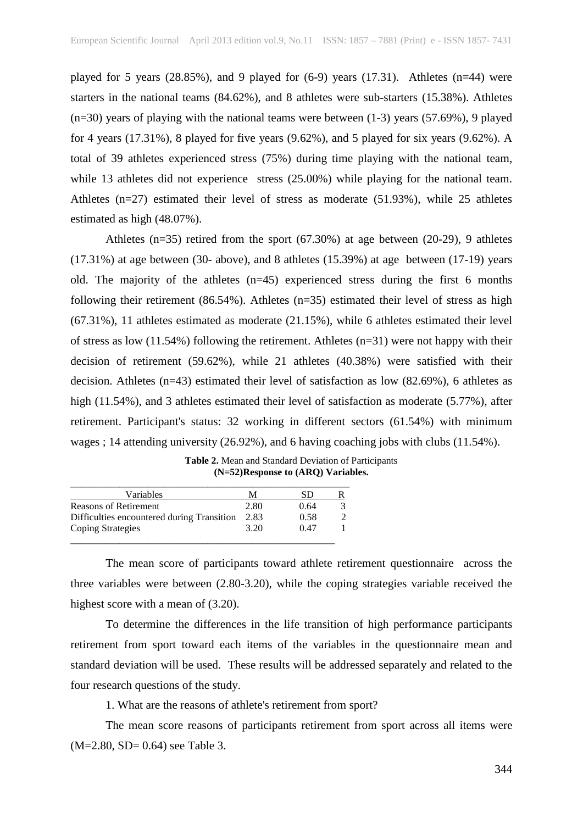played for 5 years  $(28.85\%)$ , and 9 played for  $(6-9)$  years  $(17.31)$ . Athletes  $(n=44)$  were starters in the national teams (84.62%), and 8 athletes were sub-starters (15.38%). Athletes  $(n=30)$  years of playing with the national teams were between  $(1-3)$  years  $(57.69\%)$ , 9 played for 4 years (17.31%), 8 played for five years (9.62%), and 5 played for six years (9.62%). A total of 39 athletes experienced stress (75%) during time playing with the national team, while 13 athletes did not experience stress (25.00%) while playing for the national team. Athletes (n=27) estimated their level of stress as moderate (51.93%), while 25 athletes estimated as high (48.07%).

Athletes (n=35) retired from the sport (67.30%) at age between (20-29), 9 athletes (17.31%) at age between (30- above), and 8 athletes (15.39%) at age between (17-19) years old. The majority of the athletes  $(n=45)$  experienced stress during the first 6 months following their retirement  $(86.54\%)$ . Athletes  $(n=35)$  estimated their level of stress as high (67.31%), 11 athletes estimated as moderate (21.15%), while 6 athletes estimated their level of stress as low  $(11.54\%)$  following the retirement. Athletes  $(n=31)$  were not happy with their decision of retirement (59.62%), while 21 athletes (40.38%) were satisfied with their decision. Athletes (n=43) estimated their level of satisfaction as low (82.69%), 6 athletes as high (11.54%), and 3 athletes estimated their level of satisfaction as moderate (5.77%), after retirement. Participant's status: 32 working in different sectors (61.54%) with minimum wages ; 14 attending university (26.92%), and 6 having coaching jobs with clubs (11.54%).

**Table 2.** Mean and Standard Deviation of Participants **(N=52)Response to (ARQ) Variables.**

| Variables                                  | м    | SD   |  |
|--------------------------------------------|------|------|--|
| <b>Reasons of Retirement</b>               | 2.80 | 0.64 |  |
| Difficulties encountered during Transition | 2.83 | 0.58 |  |
| <b>Coping Strategies</b>                   | 3.20 | 0.47 |  |

The mean score of participants toward athlete retirement questionnaire across the three variables were between (2.80-3.20), while the coping strategies variable received the highest score with a mean of (3.20).

To determine the differences in the life transition of high performance participants retirement from sport toward each items of the variables in the questionnaire mean and standard deviation will be used. These results will be addressed separately and related to the four research questions of the study.

1. What are the reasons of athlete's retirement from sport?

The mean score reasons of participants retirement from sport across all items were (M=2.80, SD= 0.64) see Table 3.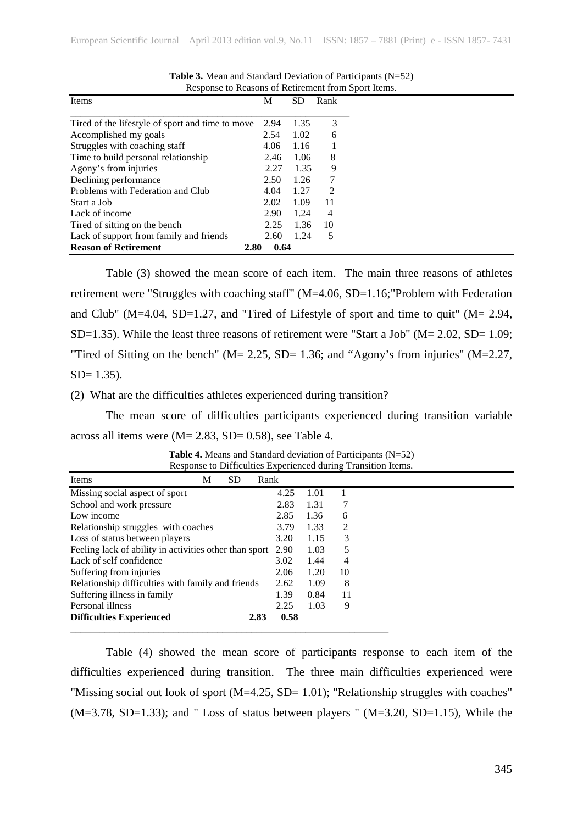| Items                                            | М            | SD   | Rank |
|--------------------------------------------------|--------------|------|------|
| Tired of the lifestyle of sport and time to move | 2.94         | 1.35 | 3    |
| Accomplished my goals                            | 2.54         | 1.02 | 6    |
| Struggles with coaching staff                    | 4.06         | 1.16 |      |
| Time to build personal relationship              | 2.46         | 1.06 | 8    |
| Agony's from injuries                            | 2.27         | 1.35 | 9    |
| Declining performance                            | 2.50         | 1.26 | 7    |
| Problems with Federation and Club                | 4.04         | 1.27 | 2    |
| Start a Job                                      | 2.02         | 1.09 | 11   |
| Lack of income                                   | 2.90         | 1.24 | 4    |
| Tired of sitting on the bench                    | 2.25         | 1.36 | 10   |
| Lack of support from family and friends          | 2.60         | 1.24 | 5    |
| <b>Reason of Retirement</b>                      | 0.64<br>2.80 |      |      |

**Table 3.** Mean and Standard Deviation of Participants (N=52) Response to Reasons of Retirement from Sport Items.

Table (3) showed the mean score of each item. The main three reasons of athletes retirement were "Struggles with coaching staff" (M=4.06, SD=1.16;"Problem with Federation and Club" (M=4.04, SD=1.27, and "Tired of Lifestyle of sport and time to quit" (M= 2.94, SD=1.35). While the least three reasons of retirement were "Start a Job" (M= 2.02, SD= 1.09; "Tired of Sitting on the bench" ( $M = 2.25$ , SD= 1.36; and "Agony's from injuries" ( $M = 2.27$ ,  $SD = 1.35$ ).

#### (2) What are the difficulties athletes experienced during transition?

The mean score of difficulties participants experienced during transition variable across all items were (M= 2.83, SD= 0.58), see Table 4.

| Items                                                       | М | <b>SD</b> | Rank |      |      |    |  |
|-------------------------------------------------------------|---|-----------|------|------|------|----|--|
| Missing social aspect of sport                              |   |           |      | 4.25 | 1.01 |    |  |
| School and work pressure                                    |   |           |      | 2.83 | 1.31 |    |  |
| Low income                                                  |   |           |      | 2.85 | 1.36 | 6  |  |
| Relationship struggles with coaches                         |   |           |      | 3.79 | 1.33 | 2  |  |
| Loss of status between players                              |   |           |      | 3.20 | 1.15 | 3  |  |
| Feeling lack of ability in activities other than sport 2.90 |   |           |      |      | 1.03 | 5  |  |
| Lack of self confidence                                     |   |           |      | 3.02 | 1.44 | 4  |  |
| Suffering from injuries                                     |   |           |      | 2.06 | 1.20 | 10 |  |
| Relationship difficulties with family and friends           |   |           |      | 2.62 | 1.09 | 8  |  |
| Suffering illness in family                                 |   |           |      | 1.39 | 0.84 | 11 |  |
| Personal illness                                            |   |           |      | 2.25 | 1.03 | 9  |  |
| <b>Difficulties Experienced</b>                             |   |           | 2.83 | 0.58 |      |    |  |
|                                                             |   |           |      |      |      |    |  |

**Table 4.** Means and Standard deviation of Participants (N=52) Response to Difficulties Experienced during Transition Items.

Table (4) showed the mean score of participants response to each item of the difficulties experienced during transition. The three main difficulties experienced were "Missing social out look of sport (M=4.25, SD= 1.01); "Relationship struggles with coaches"  $(M=3.78, SD=1.33)$ ; and "Loss of status between players "  $(M=3.20, SD=1.15)$ , While the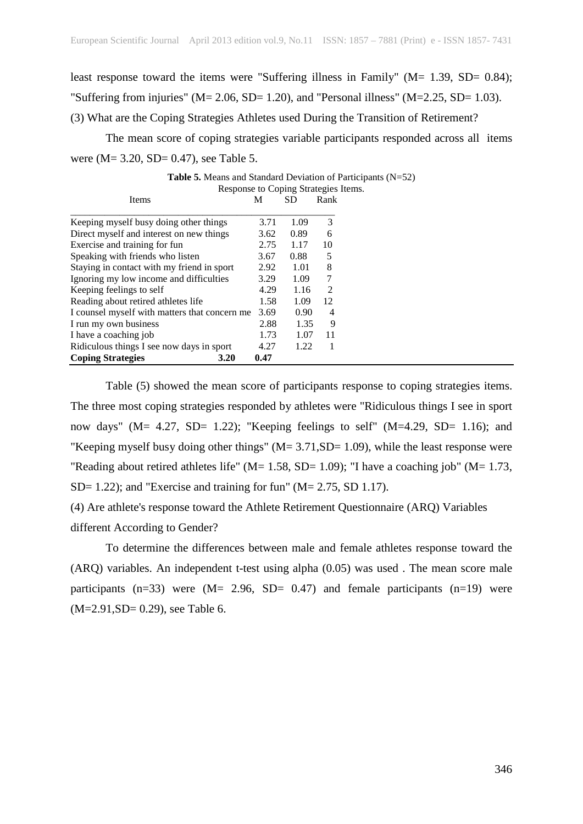least response toward the items were "Suffering illness in Family" (M= 1.39, SD= 0.84); "Suffering from injuries" ( $M = 2.06$ , SD= 1.20), and "Personal illness" ( $M = 2.25$ , SD= 1.03). (3) What are the Coping Strategies Athletes used During the Transition of Retirement?

The mean score of coping strategies variable participants responded across all items were (M = 3.20, SD = 0.47), see Table 5.

|                                               |      | Response to Coping Strategies I |                |  |
|-----------------------------------------------|------|---------------------------------|----------------|--|
| Items                                         | M    | SD                              | Rank           |  |
|                                               |      |                                 |                |  |
| Keeping myself busy doing other things        | 3.71 | 1.09                            | 3              |  |
| Direct myself and interest on new things      | 3.62 | 0.89                            | 6              |  |
| Exercise and training for fun                 | 2.75 | 1.17                            | 10             |  |
| Speaking with friends who listen              | 3.67 | 0.88                            | 5              |  |
| Staying in contact with my friend in sport    | 2.92 | 1.01                            | 8              |  |
| Ignoring my low income and difficulties       | 3.29 | 1.09                            | 7              |  |
| Keeping feelings to self                      | 4.29 | 1.16                            | $\mathfrak{D}$ |  |
| Reading about retired athletes life           | 1.58 | 1.09                            | 12             |  |
| I counsel myself with matters that concern me | 3.69 | 0.90                            | 4              |  |
| I run my own business                         | 2.88 | 1.35                            | 9              |  |
| I have a coaching job                         | 1.73 | 1.07                            | 11             |  |
| Ridiculous things I see now days in sport     | 4.27 | 1.22                            | 1              |  |
| <b>Coping Strategies</b><br>3.20              | 0.47 |                                 |                |  |

**Table 5.** Means and Standard Deviation of Participants (N=52) Coning Strategies Items.

Table (5) showed the mean score of participants response to coping strategies items. The three most coping strategies responded by athletes were "Ridiculous things I see in sport now days" (M=  $4.27$ , SD=  $1.22$ ); "Keeping feelings to self" (M=4.29, SD=  $1.16$ ); and "Keeping myself busy doing other things"  $(M= 3.71, SD= 1.09)$ , while the least response were "Reading about retired athletes life" ( $M = 1.58$ , SD= 1.09); "I have a coaching job" ( $M = 1.73$ ,  $SD= 1.22$ ; and "Exercise and training for fun" ( $M= 2.75$ , SD 1.17).

(4) Are athlete's response toward the Athlete Retirement Questionnaire (ARQ) Variables different According to Gender?

To determine the differences between male and female athletes response toward the (ARQ) variables. An independent t-test using alpha (0.05) was used . The mean score male participants  $(n=33)$  were  $(M= 2.96, SD= 0.47)$  and female participants  $(n=19)$  were (M=2.91,SD= 0.29), see Table 6.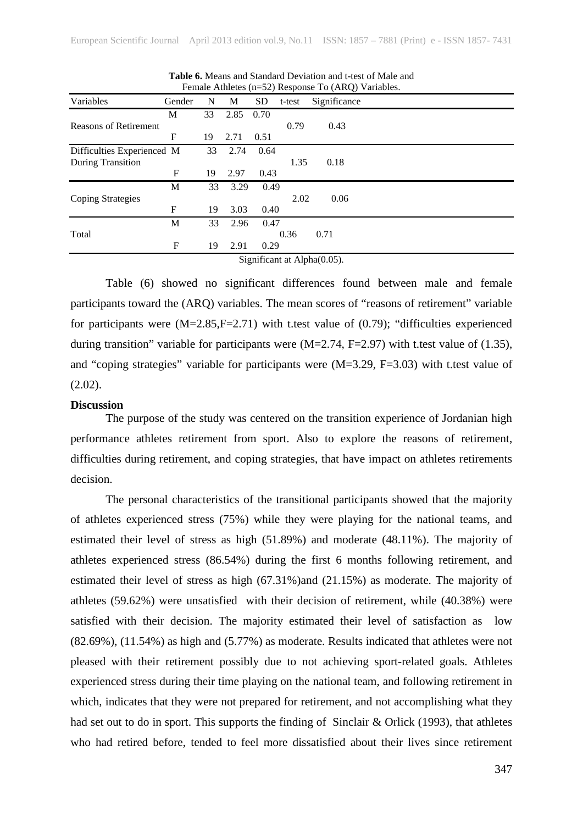|                              |        |    |      |           |              | Temare Attrictes (ii-52) Response To (ARQ) Variables. |  |  |  |
|------------------------------|--------|----|------|-----------|--------------|-------------------------------------------------------|--|--|--|
| Variables                    | Gender | N  | M    | <b>SD</b> | t-test       | Significance                                          |  |  |  |
|                              | M      | 33 | 2.85 | 0.70      |              |                                                       |  |  |  |
| <b>Reasons of Retirement</b> |        |    |      |           | 0.79         | 0.43                                                  |  |  |  |
|                              | F      | 19 | 2.71 | 0.51      |              |                                                       |  |  |  |
| Difficulties Experienced M   |        | 33 | 2.74 | 0.64      |              |                                                       |  |  |  |
| During Transition            |        |    |      |           | 1.35         | 0.18                                                  |  |  |  |
|                              | F      | 19 | 2.97 | 0.43      |              |                                                       |  |  |  |
|                              | M      | 33 | 3.29 | 0.49      |              |                                                       |  |  |  |
| <b>Coping Strategies</b>     |        |    |      |           | 2.02         | 0.06                                                  |  |  |  |
|                              | F      | 19 | 3.03 | 0.40      |              |                                                       |  |  |  |
|                              | M      | 33 | 2.96 | 0.47      |              |                                                       |  |  |  |
| Total                        |        |    |      |           | 0.36<br>0.71 |                                                       |  |  |  |
|                              | F      | 19 | 2.91 | 0.29      |              |                                                       |  |  |  |
|                              |        |    |      |           |              | $Simplifyant$ at $Alhba(0.05)$                        |  |  |  |

**Table 6.** Means and Standard Deviation and t-test of Male and Female Athletes  $(n-52)$  Response  $To (ARD)$  Variables.

Significant at Alpha(0.05).

Table (6) showed no significant differences found between male and female participants toward the (ARQ) variables. The mean scores of "reasons of retirement" variable for participants were  $(M=2.85,F=2.71)$  with t.test value of  $(0.79)$ ; "difficulties experienced during transition" variable for participants were  $(M=2.74, F=2.97)$  with t.test value of (1.35), and "coping strategies" variable for participants were  $(M=3.29, F=3.03)$  with t.test value of  $(2.02)$ .

## **Discussion**

The purpose of the study was centered on the transition experience of Jordanian high performance athletes retirement from sport. Also to explore the reasons of retirement, difficulties during retirement, and coping strategies, that have impact on athletes retirements decision.

The personal characteristics of the transitional participants showed that the majority of athletes experienced stress (75%) while they were playing for the national teams, and estimated their level of stress as high (51.89%) and moderate (48.11%). The majority of athletes experienced stress (86.54%) during the first 6 months following retirement, and estimated their level of stress as high (67.31%)and (21.15%) as moderate. The majority of athletes (59.62%) were unsatisfied with their decision of retirement, while (40.38%) were satisfied with their decision. The majority estimated their level of satisfaction as low (82.69%), (11.54%) as high and (5.77%) as moderate. Results indicated that athletes were not pleased with their retirement possibly due to not achieving sport-related goals. Athletes experienced stress during their time playing on the national team, and following retirement in which, indicates that they were not prepared for retirement, and not accomplishing what they had set out to do in sport. This supports the finding of Sinclair & Orlick (1993), that athletes who had retired before, tended to feel more dissatisfied about their lives since retirement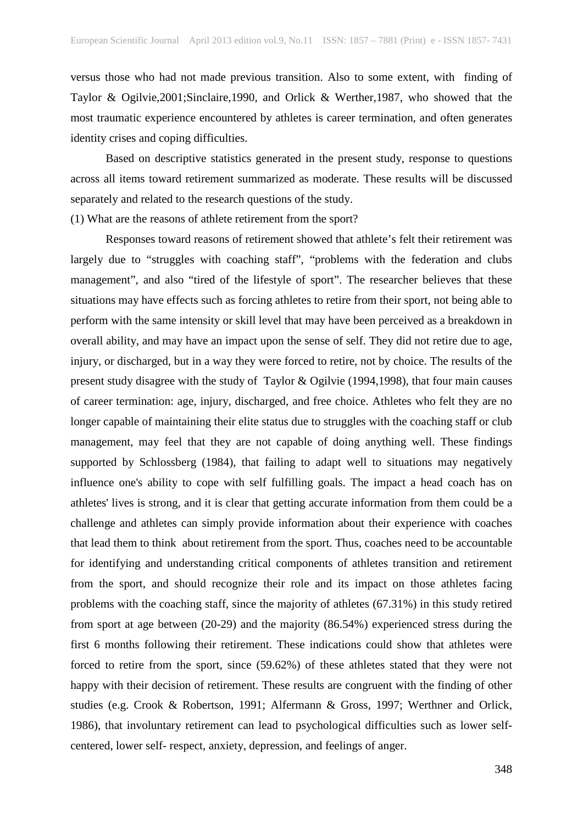versus those who had not made previous transition. Also to some extent, with finding of Taylor & Ogilvie,2001;Sinclaire,1990, and Orlick & Werther,1987, who showed that the most traumatic experience encountered by athletes is career termination, and often generates identity crises and coping difficulties.

Based on descriptive statistics generated in the present study, response to questions across all items toward retirement summarized as moderate. These results will be discussed separately and related to the research questions of the study.

(1) What are the reasons of athlete retirement from the sport?

Responses toward reasons of retirement showed that athlete's felt their retirement was largely due to "struggles with coaching staff", "problems with the federation and clubs management", and also "tired of the lifestyle of sport". The researcher believes that these situations may have effects such as forcing athletes to retire from their sport, not being able to perform with the same intensity or skill level that may have been perceived as a breakdown in overall ability, and may have an impact upon the sense of self. They did not retire due to age, injury, or discharged, but in a way they were forced to retire, not by choice. The results of the present study disagree with the study of Taylor & Ogilvie (1994,1998), that four main causes of career termination: age, injury, discharged, and free choice. Athletes who felt they are no longer capable of maintaining their elite status due to struggles with the coaching staff or club management, may feel that they are not capable of doing anything well. These findings supported by Schlossberg (1984), that failing to adapt well to situations may negatively influence one's ability to cope with self fulfilling goals. The impact a head coach has on athletes' lives is strong, and it is clear that getting accurate information from them could be a challenge and athletes can simply provide information about their experience with coaches that lead them to think about retirement from the sport. Thus, coaches need to be accountable for identifying and understanding critical components of athletes transition and retirement from the sport, and should recognize their role and its impact on those athletes facing problems with the coaching staff, since the majority of athletes (67.31%) in this study retired from sport at age between (20-29) and the majority (86.54%) experienced stress during the first 6 months following their retirement. These indications could show that athletes were forced to retire from the sport, since (59.62%) of these athletes stated that they were not happy with their decision of retirement. These results are congruent with the finding of other studies (e.g. Crook & Robertson, 1991; Alfermann & Gross, 1997; Werthner and Orlick, 1986), that involuntary retirement can lead to psychological difficulties such as lower selfcentered, lower self- respect, anxiety, depression, and feelings of anger.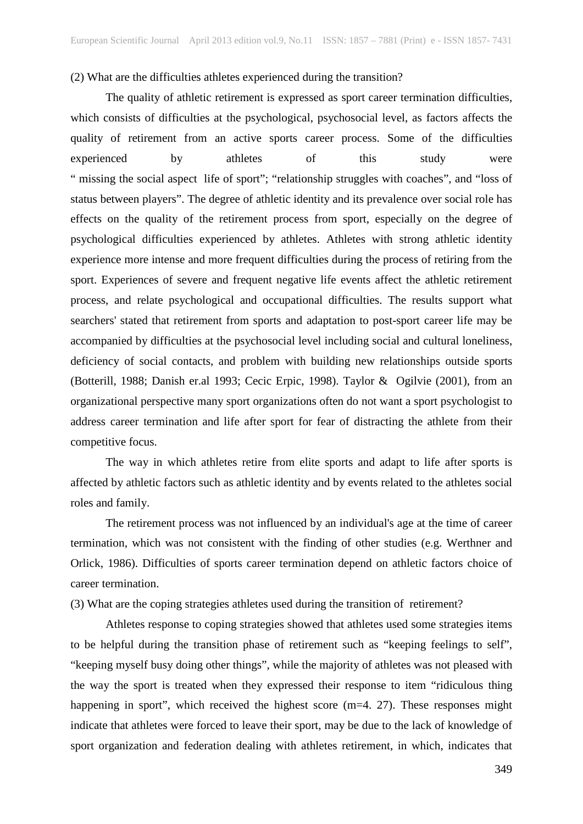#### (2) What are the difficulties athletes experienced during the transition?

The quality of athletic retirement is expressed as sport career termination difficulties, which consists of difficulties at the psychological, psychosocial level, as factors affects the quality of retirement from an active sports career process. Some of the difficulties experienced by athletes of this study were " missing the social aspect life of sport"; "relationship struggles with coaches", and "loss of status between players". The degree of athletic identity and its prevalence over social role has effects on the quality of the retirement process from sport, especially on the degree of psychological difficulties experienced by athletes. Athletes with strong athletic identity experience more intense and more frequent difficulties during the process of retiring from the sport. Experiences of severe and frequent negative life events affect the athletic retirement process, and relate psychological and occupational difficulties. The results support what searchers' stated that retirement from sports and adaptation to post-sport career life may be accompanied by difficulties at the psychosocial level including social and cultural loneliness, deficiency of social contacts, and problem with building new relationships outside sports (Botterill, 1988; Danish er.al 1993; Cecic Erpic, 1998). Taylor & Ogilvie (2001), from an organizational perspective many sport organizations often do not want a sport psychologist to address career termination and life after sport for fear of distracting the athlete from their competitive focus.

The way in which athletes retire from elite sports and adapt to life after sports is affected by athletic factors such as athletic identity and by events related to the athletes social roles and family.

The retirement process was not influenced by an individual's age at the time of career termination, which was not consistent with the finding of other studies (e.g. Werthner and Orlick, 1986). Difficulties of sports career termination depend on athletic factors choice of career termination.

(3) What are the coping strategies athletes used during the transition of retirement?

Athletes response to coping strategies showed that athletes used some strategies items to be helpful during the transition phase of retirement such as "keeping feelings to self", "keeping myself busy doing other things", while the majority of athletes was not pleased with the way the sport is treated when they expressed their response to item "ridiculous thing happening in sport", which received the highest score (m=4. 27). These responses might indicate that athletes were forced to leave their sport, may be due to the lack of knowledge of sport organization and federation dealing with athletes retirement, in which, indicates that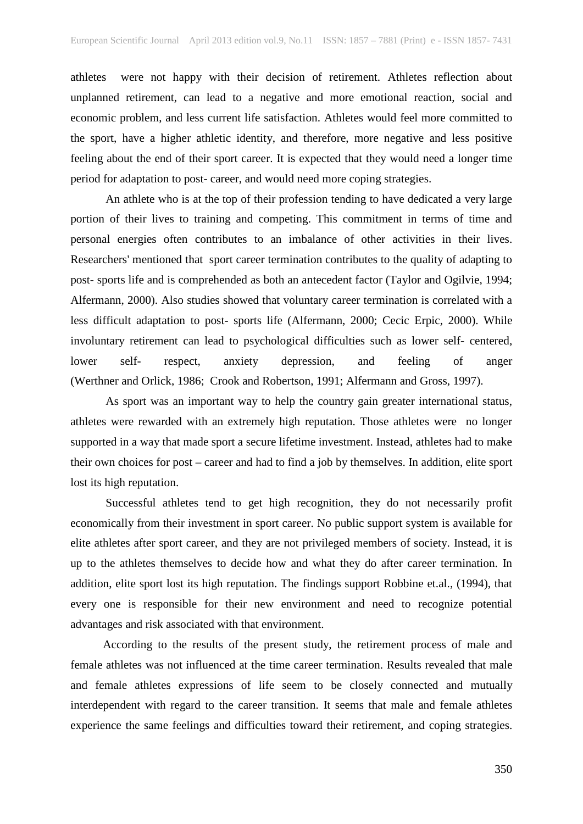athletes were not happy with their decision of retirement. Athletes reflection about unplanned retirement, can lead to a negative and more emotional reaction, social and economic problem, and less current life satisfaction. Athletes would feel more committed to the sport, have a higher athletic identity, and therefore, more negative and less positive feeling about the end of their sport career. It is expected that they would need a longer time period for adaptation to post- career, and would need more coping strategies.

An athlete who is at the top of their profession tending to have dedicated a very large portion of their lives to training and competing. This commitment in terms of time and personal energies often contributes to an imbalance of other activities in their lives. Researchers' mentioned that sport career termination contributes to the quality of adapting to post- sports life and is comprehended as both an antecedent factor (Taylor and Ogilvie, 1994; Alfermann, 2000). Also studies showed that voluntary career termination is correlated with a less difficult adaptation to post- sports life (Alfermann, 2000; Cecic Erpic, 2000). While involuntary retirement can lead to psychological difficulties such as lower self- centered, lower self- respect, anxiety depression, and feeling of anger (Werthner and Orlick, 1986; Crook and Robertson, 1991; Alfermann and Gross, 1997).

As sport was an important way to help the country gain greater international status, athletes were rewarded with an extremely high reputation. Those athletes were no longer supported in a way that made sport a secure lifetime investment. Instead, athletes had to make their own choices for post – career and had to find a job by themselves. In addition, elite sport lost its high reputation.

Successful athletes tend to get high recognition, they do not necessarily profit economically from their investment in sport career. No public support system is available for elite athletes after sport career, and they are not privileged members of society. Instead, it is up to the athletes themselves to decide how and what they do after career termination. In addition, elite sport lost its high reputation. The findings support Robbine et.al., (1994), that every one is responsible for their new environment and need to recognize potential advantages and risk associated with that environment.

 According to the results of the present study, the retirement process of male and female athletes was not influenced at the time career termination. Results revealed that male and female athletes expressions of life seem to be closely connected and mutually interdependent with regard to the career transition. It seems that male and female athletes experience the same feelings and difficulties toward their retirement, and coping strategies.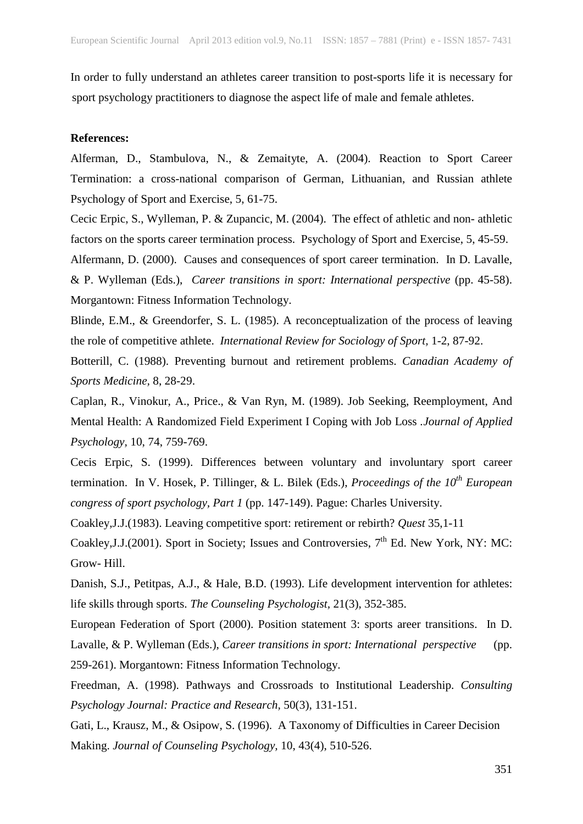In order to fully understand an athletes career transition to post-sports life it is necessary for sport psychology practitioners to diagnose the aspect life of male and female athletes.

#### **References:**

Alferman, D., Stambulova, N., & Zemaityte, A. (2004). Reaction to Sport Career Termination: a cross-national comparison of German, Lithuanian, and Russian athlete Psychology of Sport and Exercise, 5, 61-75.

Cecic Erpic, S., Wylleman, P. & Zupancic, M. (2004). The effect of athletic and non- athletic factors on the sports career termination process. Psychology of Sport and Exercise, 5, 45-59.

Alfermann, D. (2000). Causes and consequences of sport career termination. In D. Lavalle, & P. Wylleman (Eds.), *Career transitions in sport: International perspective* (pp. 45-58). Morgantown: Fitness Information Technology.

Blinde, E.M., & Greendorfer, S. L. (1985). A reconceptualization of the process of leaving the role of competitive athlete. *International Review for Sociology of Sport,* 1-2, 87-92.

Botterill, C. (1988). Preventing burnout and retirement problems. *Canadian Academy of Sports Medicine,* 8, 28-29.

Caplan, R., Vinokur, A., Price., & Van Ryn, M. (1989). Job Seeking, Reemployment, And Mental Health: A Randomized Field Experiment I Coping with Job Loss *.Journal of Applied Psychology,* 10, 74, 759-769.

Cecis Erpic, S. (1999). Differences between voluntary and involuntary sport career termination. In V. Hosek, P. Tillinger, & L. Bilek (Eds.), *Proceedings of the 10th European congress of sport psychology, Part 1* (pp. 147-149). Pague: Charles University.

Coakley,J.J.(1983). Leaving competitive sport: retirement or rebirth? *Quest* 35,1-11

Coakley, J.J.(2001). Sport in Society; Issues and Controversies,  $7<sup>th</sup>$  Ed. New York, NY: MC: Grow- Hill.

Danish, S.J., Petitpas, A.J., & Hale, B.D. (1993). Life development intervention for athletes: life skills through sports. *The Counseling Psychologist,* 21(3), 352-385.

European Federation of Sport (2000). Position statement 3: sports areer transitions. In D. Lavalle, & P. Wylleman (Eds.), *Career transitions in sport: International perspective* (pp. 259-261). Morgantown: Fitness Information Technology.

Freedman, A. (1998). Pathways and Crossroads to Institutional Leadership. *Consulting Psychology Journal: Practice and Research,* 50(3), 131-151.

Gati, L., Krausz, M., & Osipow, S. (1996). A Taxonomy of Difficulties in Career Decision Making. *Journal of Counseling Psychology,* 10, 43(4), 510-526.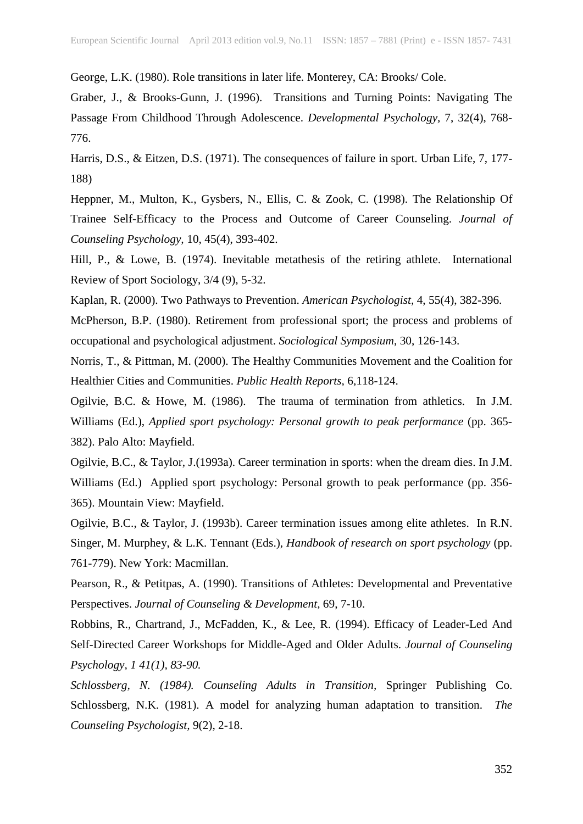George, L.K. (1980). Role transitions in later life. Monterey, CA: Brooks/ Cole.

Graber, J., & Brooks-Gunn, J. (1996). Transitions and Turning Points: Navigating The Passage From Childhood Through Adolescence. *Developmental Psychology,* 7, 32(4), 768- 776.

Harris, D.S., & Eitzen, D.S. (1971). The consequences of failure in sport. Urban Life, 7, 177- 188)

Heppner, M., Multon, K., Gysbers, N., Ellis, C. & Zook, C. (1998). The Relationship Of Trainee Self-Efficacy to the Process and Outcome of Career Counseling. *Journal of Counseling Psychology,* 10, 45(4), 393-402.

Hill, P., & Lowe, B. (1974). Inevitable metathesis of the retiring athlete. International Review of Sport Sociology, 3/4 (9), 5-32.

Kaplan, R. (2000). Two Pathways to Prevention. *American Psychologist,* 4, 55(4), 382-396.

McPherson, B.P. (1980). Retirement from professional sport; the process and problems of occupational and psychological adjustment. *Sociological Symposium*, 30, 126-143.

Norris, T., & Pittman, M. (2000). The Healthy Communities Movement and the Coalition for Healthier Cities and Communities. *Public Health Reports,* 6,118-124.

Ogilvie, B.C. & Howe, M. (1986). The trauma of termination from athletics. In J.M. Williams (Ed.), *Applied sport psychology: Personal growth to peak performance* (pp. 365- 382). Palo Alto: Mayfield.

Ogilvie, B.C., & Taylor, J.(1993a). Career termination in sports: when the dream dies. In J.M. Williams (Ed.) Applied sport psychology: Personal growth to peak performance (pp. 356- 365). Mountain View: Mayfield.

Ogilvie, B.C., & Taylor, J. (1993b). Career termination issues among elite athletes. In R.N. Singer, M. Murphey, & L.K. Tennant (Eds.), *Handbook of research on sport psychology* (pp. 761-779). New York: Macmillan.

Pearson, R., & Petitpas, A. (1990). Transitions of Athletes: Developmental and Preventative Perspectives. *Journal of Counseling & Development,* 69, 7-10.

Robbins, R., Chartrand, J., McFadden, K., & Lee, R. (1994). Efficacy of Leader-Led And Self-Directed Career Workshops for Middle-Aged and Older Adults. *Journal of Counseling Psychology, 1 41(1), 83-90.*

*Schlossberg, N. (1984). Counseling Adults in Transition,* Springer Publishing Co. Schlossberg, N.K. (1981). A model for analyzing human adaptation to transition. *The Counseling Psychologist,* 9(2), 2-18.